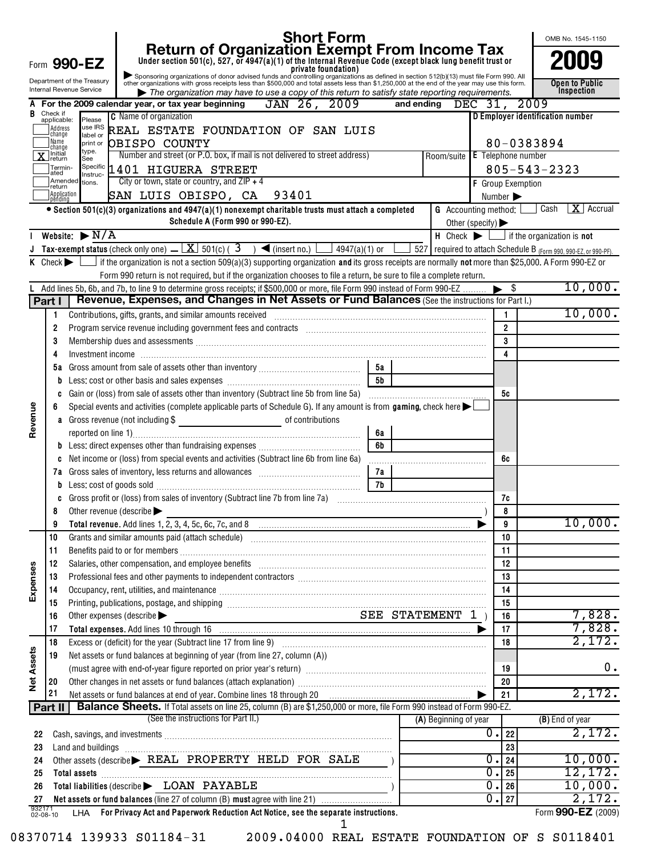|                   |                                   |                                                        |                               |                                                            | <b>Short Form</b>                                                                                                                                                                                                                                    |                                                                                                                                                                                                                                                                                                                                                                                  |                |            |                                                                             |                          |                |                    | OMB No. 1545-1150                                                        |    |
|-------------------|-----------------------------------|--------------------------------------------------------|-------------------------------|------------------------------------------------------------|------------------------------------------------------------------------------------------------------------------------------------------------------------------------------------------------------------------------------------------------------|----------------------------------------------------------------------------------------------------------------------------------------------------------------------------------------------------------------------------------------------------------------------------------------------------------------------------------------------------------------------------------|----------------|------------|-----------------------------------------------------------------------------|--------------------------|----------------|--------------------|--------------------------------------------------------------------------|----|
|                   |                                   | Form 990-EZ                                            |                               |                                                            | Return of Organization Exempt From Income Tax<br>Under section 501(c), 527, or 4947(a)(1) of the Internal Revenue Code (except black lung benefit trust or<br>Private foundation)<br>other organizations with gross receipts less than               |                                                                                                                                                                                                                                                                                                                                                                                  |                |            |                                                                             |                          |                |                    |                                                                          |    |
|                   |                                   | Department of the Treasury<br>Internal Revenue Service |                               |                                                            | $\blacktriangleright$ The organization may have to use a copy of this return to satisfy state reporting requirements.                                                                                                                                |                                                                                                                                                                                                                                                                                                                                                                                  |                |            |                                                                             |                          |                |                    | Open to Public<br>Inspection                                             |    |
| A                 |                                   |                                                        |                               | For the 2009 calendar year, or tax year beginning          | JAN 26, 2009                                                                                                                                                                                                                                         |                                                                                                                                                                                                                                                                                                                                                                                  |                | and ending |                                                                             | DEC $31$ ,               |                | 2009               |                                                                          |    |
| R                 | Check if<br>applicable:           | Please                                                 | <b>C</b> Name of organization |                                                            |                                                                                                                                                                                                                                                      |                                                                                                                                                                                                                                                                                                                                                                                  |                |            |                                                                             |                          |                |                    | D Employer identification number                                         |    |
|                   | Address<br>change                 | use IRS                                                |                               |                                                            | REAL ESTATE FOUNDATION OF SAN LUIS                                                                                                                                                                                                                   |                                                                                                                                                                                                                                                                                                                                                                                  |                |            |                                                                             |                          |                |                    |                                                                          |    |
|                   | Name<br>change                    | label or<br>print or                                   | OBISPO COUNTY                 |                                                            |                                                                                                                                                                                                                                                      |                                                                                                                                                                                                                                                                                                                                                                                  |                |            |                                                                             |                          |                | 80-0383894         |                                                                          |    |
|                   | $\overline{\mathbf{X}}$ Initial   | type.<br>See                                           |                               |                                                            | Number and street (or P.O. box, if mail is not delivered to street address)                                                                                                                                                                          |                                                                                                                                                                                                                                                                                                                                                                                  |                |            | Room/suite E Telephone number                                               |                          |                |                    |                                                                          |    |
|                   | Termin-<br>ated                   | Instruc-                                               |                               | Specific 1401 HIGUERA STREET                               |                                                                                                                                                                                                                                                      |                                                                                                                                                                                                                                                                                                                                                                                  |                |            |                                                                             |                          |                | $805 - 543 - 2323$ |                                                                          |    |
|                   | Amended<br>return                 | tions.                                                 |                               | City or town, state or country, and $ZIP + 4$              |                                                                                                                                                                                                                                                      |                                                                                                                                                                                                                                                                                                                                                                                  |                |            |                                                                             | <b>F</b> Group Exemption |                |                    |                                                                          |    |
|                   | Application<br>Ipending           |                                                        |                               | SAN LUIS OBISPO, CA                                        | 93401                                                                                                                                                                                                                                                |                                                                                                                                                                                                                                                                                                                                                                                  |                |            |                                                                             |                          | Number >       |                    |                                                                          |    |
|                   |                                   |                                                        |                               | Schedule A (Form 990 or 990-EZ).                           | $\bullet$ Section 501(c)(3) organizations and 4947(a)(1) nonexempt charitable trusts must attach a completed                                                                                                                                         |                                                                                                                                                                                                                                                                                                                                                                                  |                |            | <b>G</b> Accounting method: $\Box$<br>Other (specify) $\blacktriangleright$ |                          |                | Cash               | $\mathbf{X}$ Accrual                                                     |    |
|                   |                                   | Website: $\blacktriangleright$ N/A                     |                               |                                                            |                                                                                                                                                                                                                                                      |                                                                                                                                                                                                                                                                                                                                                                                  |                |            |                                                                             |                          |                |                    | $H$ Check $\blacktriangleright$ $\Box$ if the organization is <b>not</b> |    |
|                   |                                   |                                                        |                               |                                                            | <b>Tax-exempt status</b> (check only one) $\underline{\phantom{a}} \underline{\phantom{a}} \underline{\phantom{a}}$ 501(c) ( $3 \phantom{a}$ ) < (insert no.)                                                                                        | 4947(a)(1) or $\lfloor$                                                                                                                                                                                                                                                                                                                                                          |                |            |                                                                             |                          |                |                    | 527 required to attach Schedule B $_{(Form 990, 990-EZ, or 990-PF).}$    |    |
|                   | $K$ Check $\blacktriangleright$ 1 |                                                        |                               |                                                            | If the organization is not a section 509(a)(3) supporting organization and its gross receipts are normally not more than \$25,000. A Form 990-EZ or                                                                                                  |                                                                                                                                                                                                                                                                                                                                                                                  |                |            |                                                                             |                          |                |                    |                                                                          |    |
|                   |                                   |                                                        |                               |                                                            | Form 990 return is not required, but if the organization chooses to file a return, be sure to file a complete return.<br>Add lines 5b, 6b, and 7b, to line 9 to determine gross receipts; if \$500,000 or more, file Form 990 instead of Form 990-EZ |                                                                                                                                                                                                                                                                                                                                                                                  |                |            |                                                                             |                          | \$             |                    | 10,000.                                                                  |    |
|                   | Part I                            |                                                        |                               |                                                            | Revenue, Expenses, and Changes in Net Assets or Fund Balances (See the instructions for Part I.)                                                                                                                                                     |                                                                                                                                                                                                                                                                                                                                                                                  |                |            |                                                                             |                          |                |                    |                                                                          |    |
|                   | 1                                 |                                                        |                               | Contributions, gifts, grants, and similar amounts received |                                                                                                                                                                                                                                                      |                                                                                                                                                                                                                                                                                                                                                                                  |                |            |                                                                             |                          | 1              |                    | 10,000.                                                                  |    |
|                   | $\overline{2}$                    |                                                        |                               |                                                            |                                                                                                                                                                                                                                                      |                                                                                                                                                                                                                                                                                                                                                                                  |                |            |                                                                             |                          | $\overline{2}$ |                    |                                                                          |    |
|                   | 3                                 |                                                        |                               |                                                            | Membership dues and assessments [111] Martin Martin Martin Martin Martin Martin Martin Martin Martin Martin Ma                                                                                                                                       |                                                                                                                                                                                                                                                                                                                                                                                  |                |            |                                                                             |                          | 3              |                    |                                                                          |    |
|                   | 4                                 | Investment income                                      |                               |                                                            |                                                                                                                                                                                                                                                      |                                                                                                                                                                                                                                                                                                                                                                                  |                |            |                                                                             |                          | 4              |                    |                                                                          |    |
|                   | 5а                                |                                                        |                               |                                                            |                                                                                                                                                                                                                                                      |                                                                                                                                                                                                                                                                                                                                                                                  | 5а             |            |                                                                             |                          |                |                    |                                                                          |    |
|                   | b                                 |                                                        |                               |                                                            |                                                                                                                                                                                                                                                      |                                                                                                                                                                                                                                                                                                                                                                                  | 5 <sub>b</sub> |            |                                                                             |                          |                |                    |                                                                          |    |
|                   | C                                 |                                                        |                               |                                                            | Gain or (loss) from sale of assets other than inventory (Subtract line 5b from line 5a)                                                                                                                                                              |                                                                                                                                                                                                                                                                                                                                                                                  |                |            |                                                                             |                          | 5с             |                    |                                                                          |    |
|                   | 6                                 |                                                        |                               |                                                            | Special events and activities (complete applicable parts of Schedule G). If any amount is from gaming, check here $\blacktriangleright$                                                                                                              |                                                                                                                                                                                                                                                                                                                                                                                  |                |            |                                                                             |                          |                |                    |                                                                          |    |
| Revenue           |                                   |                                                        |                               |                                                            | a Gross revenue (not including \$                                                                                                                                                                                                                    |                                                                                                                                                                                                                                                                                                                                                                                  |                |            |                                                                             |                          |                |                    |                                                                          |    |
|                   |                                   |                                                        |                               |                                                            |                                                                                                                                                                                                                                                      |                                                                                                                                                                                                                                                                                                                                                                                  | 6a             |            |                                                                             |                          |                |                    |                                                                          |    |
|                   |                                   |                                                        |                               |                                                            |                                                                                                                                                                                                                                                      |                                                                                                                                                                                                                                                                                                                                                                                  | 6b             |            |                                                                             |                          |                |                    |                                                                          |    |
|                   |                                   |                                                        |                               |                                                            | Net income or (loss) from special events and activities (Subtract line 6b from line 6a)                                                                                                                                                              |                                                                                                                                                                                                                                                                                                                                                                                  |                |            |                                                                             |                          | 6с             |                    |                                                                          |    |
|                   |                                   |                                                        |                               |                                                            |                                                                                                                                                                                                                                                      |                                                                                                                                                                                                                                                                                                                                                                                  | 7a             |            |                                                                             |                          |                |                    |                                                                          |    |
|                   |                                   |                                                        |                               |                                                            |                                                                                                                                                                                                                                                      |                                                                                                                                                                                                                                                                                                                                                                                  | 7b             |            |                                                                             |                          | 7c             |                    |                                                                          |    |
|                   | 8                                 | Other revenue (describe                                |                               |                                                            |                                                                                                                                                                                                                                                      |                                                                                                                                                                                                                                                                                                                                                                                  |                |            |                                                                             |                          | 8              |                    |                                                                          |    |
|                   | 9                                 |                                                        |                               |                                                            |                                                                                                                                                                                                                                                      |                                                                                                                                                                                                                                                                                                                                                                                  |                |            |                                                                             |                          | 9              |                    | 10,000.                                                                  |    |
|                   | 10                                |                                                        |                               |                                                            |                                                                                                                                                                                                                                                      |                                                                                                                                                                                                                                                                                                                                                                                  |                |            |                                                                             |                          | 10             |                    |                                                                          |    |
|                   | 11                                |                                                        |                               |                                                            |                                                                                                                                                                                                                                                      |                                                                                                                                                                                                                                                                                                                                                                                  |                |            |                                                                             |                          | 11             |                    |                                                                          |    |
|                   | 12                                |                                                        |                               |                                                            | Salaries, other compensation, and employee benefits [11] manufactures in the community community community community of the community community community community community community community community community communit                       |                                                                                                                                                                                                                                                                                                                                                                                  |                |            |                                                                             |                          | 12             |                    |                                                                          |    |
|                   | 13                                |                                                        |                               |                                                            | Professional fees and other payments to independent contractors [111] [11] professional fees and other payments to independent contractors [11] professional fees and other payments to independent contractors [11] professio                       |                                                                                                                                                                                                                                                                                                                                                                                  |                |            |                                                                             |                          | 13             |                    |                                                                          |    |
| Expenses          | 14                                |                                                        |                               |                                                            | Occupancy, rent, utilities, and maintenance manufactured and according term of the manufacture of the manufacture                                                                                                                                    |                                                                                                                                                                                                                                                                                                                                                                                  |                |            |                                                                             |                          | 14             |                    |                                                                          |    |
|                   | 15                                |                                                        |                               |                                                            |                                                                                                                                                                                                                                                      |                                                                                                                                                                                                                                                                                                                                                                                  |                |            |                                                                             |                          | 15             |                    |                                                                          |    |
|                   | 16                                |                                                        | Other expenses (describe      |                                                            | <b>SEE STATEMENT 1</b> )                                                                                                                                                                                                                             |                                                                                                                                                                                                                                                                                                                                                                                  |                |            |                                                                             |                          | 16             |                    | 7,828.                                                                   |    |
|                   | 17                                |                                                        |                               |                                                            | Total expenses. Add lines 10 through 16 manufactured contains and contained a stream of the stream of the stream of the stream of the stream of the stream of the stream of the stream of the stream of the stream of the stre                       |                                                                                                                                                                                                                                                                                                                                                                                  |                |            |                                                                             |                          | 17             |                    | 7,828.                                                                   |    |
|                   | 18                                |                                                        |                               |                                                            |                                                                                                                                                                                                                                                      |                                                                                                                                                                                                                                                                                                                                                                                  |                |            |                                                                             |                          | 18             |                    | 2,172.                                                                   |    |
| <b>Net Assets</b> | 19                                |                                                        |                               |                                                            | Net assets or fund balances at beginning of year (from line 27, column (A))                                                                                                                                                                          |                                                                                                                                                                                                                                                                                                                                                                                  |                |            |                                                                             |                          | 19             |                    |                                                                          | 0. |
|                   | 20                                |                                                        |                               |                                                            | Other changes in net assets or fund balances (attach explanation) manufactured contains an expansion of the changes in net assets or fund balances (attach explanation)                                                                              |                                                                                                                                                                                                                                                                                                                                                                                  |                |            |                                                                             |                          | 20             |                    |                                                                          |    |
|                   | 21                                |                                                        |                               |                                                            | Net assets or fund balances at end of year. Combine lines 18 through 20                                                                                                                                                                              | $\begin{picture}(20,10) \put(0,0){\vector(1,0){10}} \put(1,0){\vector(1,0){10}} \put(1,0){\vector(1,0){10}} \put(1,0){\vector(1,0){10}} \put(1,0){\vector(1,0){10}} \put(1,0){\vector(1,0){10}} \put(1,0){\vector(1,0){10}} \put(1,0){\vector(1,0){10}} \put(1,0){\vector(1,0){10}} \put(1,0){\vector(1,0){10}} \put(1,0){\vector(1,0){10}} \put(1,0){\vector(1,0){10}} \put(1,$ |                |            |                                                                             |                          | 21             |                    | 2,172.                                                                   |    |
|                   | Part II                           |                                                        |                               |                                                            | Balance Sheets. If Total assets on line 25, column (B) are \$1,250,000 or more, file Form 990 instead of Form 990-EZ.                                                                                                                                |                                                                                                                                                                                                                                                                                                                                                                                  |                |            |                                                                             |                          |                |                    |                                                                          |    |
|                   |                                   |                                                        |                               | (See the instructions for Part II.)                        |                                                                                                                                                                                                                                                      |                                                                                                                                                                                                                                                                                                                                                                                  |                |            | (A) Beginning of year                                                       |                          |                |                    | (B) End of year                                                          |    |
| 22                |                                   |                                                        |                               |                                                            |                                                                                                                                                                                                                                                      |                                                                                                                                                                                                                                                                                                                                                                                  |                |            |                                                                             | $\overline{0}$ .         | 22             |                    | 2,172.                                                                   |    |
| 23                |                                   | Land and buildings                                     |                               |                                                            |                                                                                                                                                                                                                                                      |                                                                                                                                                                                                                                                                                                                                                                                  |                |            |                                                                             |                          | 23             |                    |                                                                          |    |
| 24                |                                   |                                                        |                               |                                                            | Other assets (describe > REAL PROPERTY HELD FOR SALE                                                                                                                                                                                                 |                                                                                                                                                                                                                                                                                                                                                                                  |                |            |                                                                             | $\overline{0}$ .         | 24             |                    | 10,000.                                                                  |    |
| 25                |                                   | Total assets                                           |                               |                                                            |                                                                                                                                                                                                                                                      |                                                                                                                                                                                                                                                                                                                                                                                  |                |            |                                                                             | $\overline{0}$ .         | 25             |                    | 12, 172.                                                                 |    |
| 26                |                                   |                                                        |                               | Total liabilities (describe > LOAN PAYABLE                 |                                                                                                                                                                                                                                                      |                                                                                                                                                                                                                                                                                                                                                                                  |                |            |                                                                             | $\overline{0}$ .         | 26             |                    | 10,000.                                                                  |    |
| 27                |                                   |                                                        |                               |                                                            | Net assets or fund balances (line 27 of column (B) must agree with line 21)                                                                                                                                                                          |                                                                                                                                                                                                                                                                                                                                                                                  |                |            |                                                                             | $\overline{0}$ .         | 27             |                    | 2,172.                                                                   |    |
|                   | 932171<br>02-08-10                |                                                        |                               |                                                            | LHA For Privacy Act and Paperwork Reduction Act Notice, see the separate instructions.                                                                                                                                                               | ı                                                                                                                                                                                                                                                                                                                                                                                |                |            |                                                                             |                          |                |                    | Form 990-EZ (2009)                                                       |    |

<sup>08370714 139933</sup> S01184-31 2009.04000 REAL ESTATE FOUNDATION OF S S0118401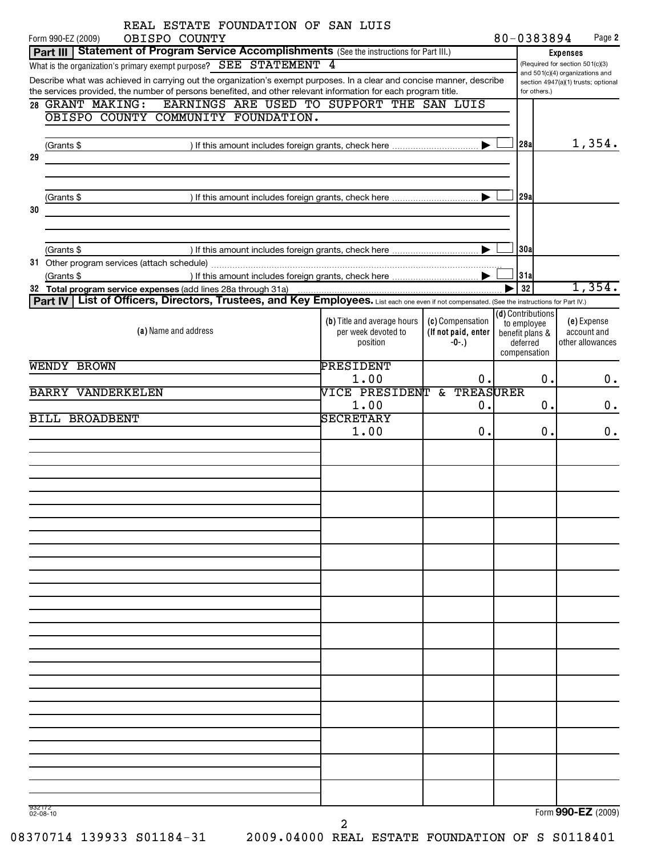| REAL ESTATE FOUNDATION OF SAN LUIS                                                                                                                                                                                                       |                                 |                                                    |  |                             |                                 |  |  |
|------------------------------------------------------------------------------------------------------------------------------------------------------------------------------------------------------------------------------------------|---------------------------------|----------------------------------------------------|--|-----------------------------|---------------------------------|--|--|
| Form 990-EZ (2009)<br>OBISPO COUNTY                                                                                                                                                                                                      |                                 |                                                    |  | 80-0383894                  | Page 2                          |  |  |
| Part III   Statement of Program Service Accomplishments (See the instructions for Part III.)                                                                                                                                             |                                 | <b>Expenses</b><br>(Required for section 501(c)(3) |  |                             |                                 |  |  |
| What is the organization's primary exempt purpose? SEE STATEMENT 4                                                                                                                                                                       |                                 |                                                    |  |                             | and 501(c)(4) organizations and |  |  |
| Describe what was achieved in carrying out the organization's exempt purposes. In a clear and concise manner, describe<br>the services provided, the number of persons benefited, and other relevant information for each program title. | for others.)                    | section 4947(a)(1) trusts; optional                |  |                             |                                 |  |  |
| 28 GRANT MAKING: EARNINGS ARE USED TO SUPPORT THE SAN LUIS                                                                                                                                                                               |                                 |                                                    |  |                             |                                 |  |  |
| OBISPO COUNTY COMMUNITY FOUNDATION.                                                                                                                                                                                                      |                                 |                                                    |  |                             |                                 |  |  |
|                                                                                                                                                                                                                                          |                                 |                                                    |  |                             |                                 |  |  |
| (Grants \$                                                                                                                                                                                                                               |                                 |                                                    |  | 28a                         | 1,354.                          |  |  |
| 29                                                                                                                                                                                                                                       |                                 |                                                    |  |                             |                                 |  |  |
|                                                                                                                                                                                                                                          |                                 |                                                    |  |                             |                                 |  |  |
|                                                                                                                                                                                                                                          |                                 |                                                    |  |                             |                                 |  |  |
| (Grants \$<br>30                                                                                                                                                                                                                         |                                 |                                                    |  | 29a                         |                                 |  |  |
|                                                                                                                                                                                                                                          |                                 |                                                    |  |                             |                                 |  |  |
|                                                                                                                                                                                                                                          |                                 |                                                    |  |                             |                                 |  |  |
| (Grants \$                                                                                                                                                                                                                               |                                 |                                                    |  | 30a                         |                                 |  |  |
|                                                                                                                                                                                                                                          |                                 |                                                    |  |                             |                                 |  |  |
| (Grants \$                                                                                                                                                                                                                               |                                 |                                                    |  | 31a                         |                                 |  |  |
| 32 Total program service expenses (add lines 28a through 31a)                                                                                                                                                                            |                                 |                                                    |  | 32                          | 1,354.                          |  |  |
| Part IV   List of Officers, Directors, Trustees, and Key Employees. List each one even if not compensated. (See the instructions for Part IV.)                                                                                           |                                 |                                                    |  | ( <b>d</b> ) Contributions  |                                 |  |  |
|                                                                                                                                                                                                                                          | (b) Title and average hours     | (c) Compensation                                   |  | to employee                 | (e) Expense                     |  |  |
| (a) Name and address                                                                                                                                                                                                                     | per week devoted to<br>position | (If not paid, enter<br>$-0-.)$                     |  | benefit plans &<br>deferred | account and<br>other allowances |  |  |
|                                                                                                                                                                                                                                          |                                 |                                                    |  | compensation                |                                 |  |  |
| WENDY BROWN                                                                                                                                                                                                                              | PRESIDENT                       |                                                    |  |                             |                                 |  |  |
|                                                                                                                                                                                                                                          | 1.00                            | 0.                                                 |  | 0.                          | $0$ .                           |  |  |
| <b>BARRY VANDERKELEN</b>                                                                                                                                                                                                                 | VICE PRESIDENT & TREASURER      |                                                    |  |                             |                                 |  |  |
|                                                                                                                                                                                                                                          | 1.00                            | 0.                                                 |  | 0.                          | 0.                              |  |  |
| <b>BILL BROADBENT</b>                                                                                                                                                                                                                    | <b>SECRETARY</b>                |                                                    |  |                             |                                 |  |  |
|                                                                                                                                                                                                                                          | 1.00                            | 0.                                                 |  | 0.                          | $0$ .                           |  |  |
|                                                                                                                                                                                                                                          |                                 |                                                    |  |                             |                                 |  |  |
|                                                                                                                                                                                                                                          |                                 |                                                    |  |                             |                                 |  |  |
|                                                                                                                                                                                                                                          |                                 |                                                    |  |                             |                                 |  |  |
|                                                                                                                                                                                                                                          |                                 |                                                    |  |                             |                                 |  |  |
|                                                                                                                                                                                                                                          |                                 |                                                    |  |                             |                                 |  |  |
|                                                                                                                                                                                                                                          |                                 |                                                    |  |                             |                                 |  |  |
|                                                                                                                                                                                                                                          |                                 |                                                    |  |                             |                                 |  |  |
|                                                                                                                                                                                                                                          |                                 |                                                    |  |                             |                                 |  |  |
|                                                                                                                                                                                                                                          |                                 |                                                    |  |                             |                                 |  |  |
|                                                                                                                                                                                                                                          |                                 |                                                    |  |                             |                                 |  |  |
|                                                                                                                                                                                                                                          |                                 |                                                    |  |                             |                                 |  |  |
|                                                                                                                                                                                                                                          |                                 |                                                    |  |                             |                                 |  |  |
|                                                                                                                                                                                                                                          |                                 |                                                    |  |                             |                                 |  |  |
|                                                                                                                                                                                                                                          |                                 |                                                    |  |                             |                                 |  |  |
|                                                                                                                                                                                                                                          |                                 |                                                    |  |                             |                                 |  |  |
|                                                                                                                                                                                                                                          |                                 |                                                    |  |                             |                                 |  |  |
|                                                                                                                                                                                                                                          |                                 |                                                    |  |                             |                                 |  |  |
|                                                                                                                                                                                                                                          |                                 |                                                    |  |                             |                                 |  |  |
|                                                                                                                                                                                                                                          |                                 |                                                    |  |                             |                                 |  |  |
|                                                                                                                                                                                                                                          |                                 |                                                    |  |                             |                                 |  |  |
|                                                                                                                                                                                                                                          |                                 |                                                    |  |                             |                                 |  |  |
|                                                                                                                                                                                                                                          |                                 |                                                    |  |                             |                                 |  |  |
|                                                                                                                                                                                                                                          |                                 |                                                    |  |                             |                                 |  |  |
|                                                                                                                                                                                                                                          |                                 |                                                    |  |                             |                                 |  |  |
| 932172<br>$02 - 08 - 10$                                                                                                                                                                                                                 |                                 |                                                    |  |                             | Form 990-EZ (2009)              |  |  |

2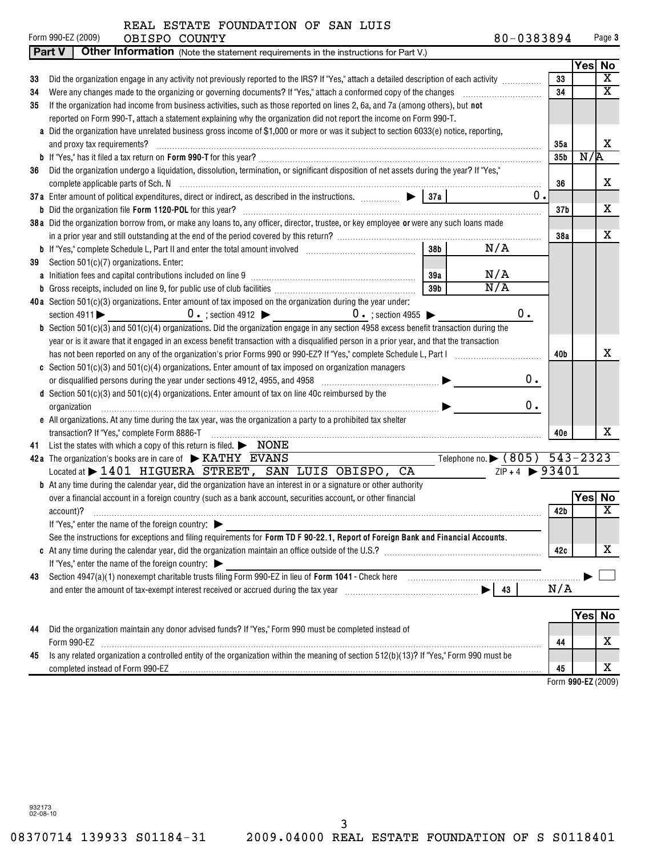|  |  | REAL ESTATE FOUNDATION OF SAN LUIS |  |  |  |
|--|--|------------------------------------|--|--|--|
|--|--|------------------------------------|--|--|--|

|    | Form 990-EZ (2009)<br>OBISPO COUNTY                                                                                                           | 80-0383894                    |                 |        | Page 3                  |
|----|-----------------------------------------------------------------------------------------------------------------------------------------------|-------------------------------|-----------------|--------|-------------------------|
|    | <b>Part V</b><br>Other Information (Note the statement requirements in the instructions for Part V.)                                          |                               |                 |        |                         |
|    |                                                                                                                                               |                               |                 | Yes No |                         |
| 33 | Did the organization engage in any activity not previously reported to the IRS? If "Yes," attach a detailed description of each activity      |                               | 33              |        | $\overline{\textbf{x}}$ |
| 34 | Were any changes made to the organizing or governing documents? If "Yes," attach a conformed copy of the changes                              |                               | 34              |        | $\overline{\mathbf{x}}$ |
| 35 | If the organization had income from business activities, such as those reported on lines 2, 6a, and 7a (among others), but not                |                               |                 |        |                         |
|    | reported on Form 990-T, attach a statement explaining why the organization did not report the income on Form 990-T.                           |                               |                 |        |                         |
|    | a Did the organization have unrelated business gross income of \$1,000 or more or was it subject to section 6033(e) notice, reporting,        |                               |                 |        |                         |
|    | and proxy tax requirements?                                                                                                                   |                               | 35a             |        | X                       |
|    |                                                                                                                                               |                               | 35 <sub>b</sub> | N/R    |                         |
| 36 | Did the organization undergo a liquidation, dissolution, termination, or significant disposition of net assets during the year? If "Yes,"     |                               |                 |        |                         |
|    |                                                                                                                                               |                               | 36              |        | x                       |
|    | 37a Enter amount of political expenditures, direct or indirect, as described in the instructions. $\Box$ $\Box$ $\Box$ 37a                    | 0.                            |                 |        |                         |
|    |                                                                                                                                               |                               | 37 <sub>b</sub> |        | х                       |
|    | 38a Did the organization borrow from, or make any loans to, any officer, director, trustee, or key employee or were any such loans made       |                               |                 |        |                         |
|    |                                                                                                                                               |                               | 38a             |        | X                       |
|    | N/A<br>38 <sub>b</sub>                                                                                                                        |                               |                 |        |                         |
| 39 | Section 501(c)(7) organizations. Enter:                                                                                                       |                               |                 |        |                         |
|    | N/A<br>39a                                                                                                                                    |                               |                 |        |                         |
|    | N/A<br>39 <sub>b</sub>                                                                                                                        |                               |                 |        |                         |
|    | 40a Section 501(c)(3) organizations. Enter amount of tax imposed on the organization during the year under:                                   |                               |                 |        |                         |
|    | $0 \cdot$ ; section 4912 $\triangleright$ 0 $\cdot$ ; section 4955 $\triangleright$<br>section $4911$                                         | 0.                            |                 |        |                         |
|    | <b>b</b> Section 501(c)(3) and 501(c)(4) organizations. Did the organization engage in any section 4958 excess benefit transaction during the |                               |                 |        |                         |
|    | year or is it aware that it engaged in an excess benefit transaction with a disqualified person in a prior year, and that the transaction     |                               |                 |        |                         |
|    |                                                                                                                                               |                               | 40b             |        | X                       |
|    | c Section $501(c)(3)$ and $501(c)(4)$ organizations. Enter amount of tax imposed on organization managers                                     |                               |                 |        |                         |
|    | or disqualified persons during the year under sections 4912, 4955, and 4958 [11, 11, 11, 11, 11, 11, 11, 11, 1                                | $0$ .                         |                 |        |                         |
|    | <b>d</b> Section $501(c)(3)$ and $501(c)(4)$ organizations. Enter amount of tax on line 40c reimbursed by the                                 |                               |                 |        |                         |
|    | organization                                                                                                                                  | $0$ .                         |                 |        |                         |
|    | e All organizations. At any time during the tax year, was the organization a party to a prohibited tax shelter                                |                               |                 |        |                         |
|    | transaction? If "Yes," complete Form 8886-T                                                                                                   |                               | 40e             |        | х                       |
| 41 | List the states with which a copy of this return is filed. $\blacktriangleright$ NONE                                                         |                               |                 |        |                         |
|    | Telephone no. • (805) 543-2323<br>42a The organization's books are in care of $\triangleright$ KATHY EVANS                                    |                               |                 |        |                         |
|    | Located at > 1401 HIGUERA STREET, SAN LUIS OBISPO, CA                                                                                         | $ZIP + 4$ $\rightarrow$ 93401 |                 |        |                         |
|    | <b>b</b> At any time during the calendar year, did the organization have an interest in or a signature or other authority                     |                               |                 |        |                         |
|    | over a financial account in a foreign country (such as a bank account, securities account, or other financial                                 |                               |                 | Yes No |                         |
|    | account)?                                                                                                                                     |                               | 42b             |        | X                       |
|    | If "Yes," enter the name of the foreign country:                                                                                              |                               |                 |        |                         |
|    | See the instructions for exceptions and filing requirements for Form TD F 90-22.1, Report of Foreign Bank and Financial Accounts.             |                               |                 |        | X                       |
|    |                                                                                                                                               |                               | 42c             |        |                         |
|    | If "Yes," enter the name of the foreign country:                                                                                              |                               |                 |        |                         |
| 43 |                                                                                                                                               |                               | N/A             |        |                         |
|    |                                                                                                                                               |                               |                 |        |                         |
|    |                                                                                                                                               |                               |                 | Yes No |                         |
| 44 | Did the organization maintain any donor advised funds? If "Yes," Form 990 must be completed instead of                                        |                               |                 |        |                         |
|    | Form 990-EZ                                                                                                                                   |                               | 44              |        | х                       |
| 45 | Is any related organization a controlled entity of the organization within the meaning of section 512(b)(13)? If "Yes," Form 990 must be      |                               |                 |        |                         |
|    | completed instead of Form 990-EZ                                                                                                              |                               | 45              |        | х                       |
|    |                                                                                                                                               |                               |                 |        |                         |

 **990-EZ** Form (2009)

932173 02-08-10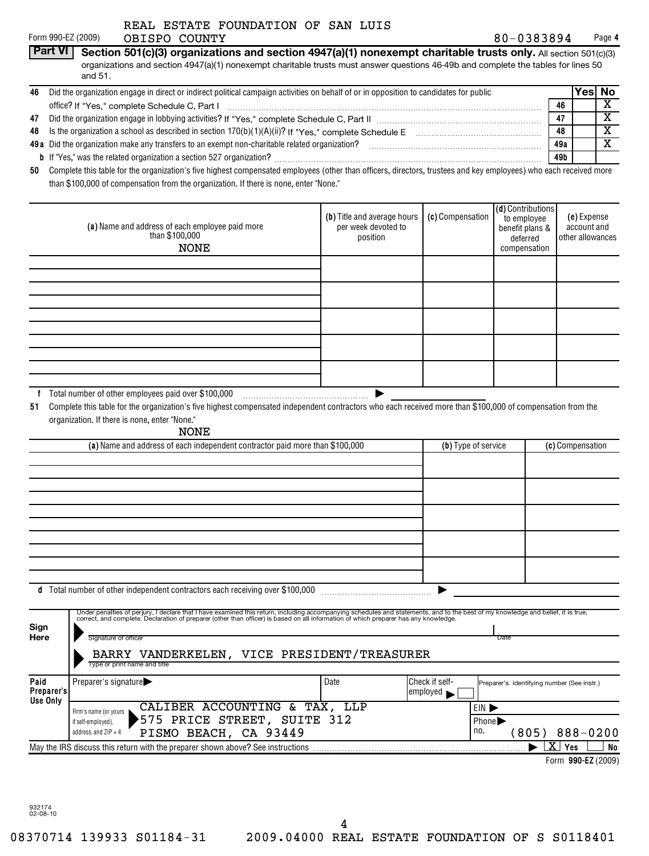|  |  | REAL ESTATE FOUNDATION OF SAN LUIS |  |  |  |
|--|--|------------------------------------|--|--|--|
|--|--|------------------------------------|--|--|--|

|    | Form 990-EZ (2009)<br>OBISPO COUNTY                                                                                                                               | 80-0383894 | Page 4  |
|----|-------------------------------------------------------------------------------------------------------------------------------------------------------------------|------------|---------|
|    | <b>Part VI</b><br>Section 501(c)(3) organizations and section 4947(a)(1) nonexempt charitable trusts only. All section 501(c)(3)                                  |            |         |
|    | organizations and section 4947(a)(1) nonexempt charitable trusts must answer questions 46-49b and complete the tables for lines 50<br>and 51.                     |            |         |
| 46 | Did the organization engage in direct or indirect political campaign activities on behalf of or in opposition to candidates for public                            |            | Yesl No |
|    |                                                                                                                                                                   | 46         |         |
| 47 |                                                                                                                                                                   | 47         | х       |
| 48 | Is the organization a school as described in section $170(b)(1)(A)(ii)$ ? If "Yes," complete Schedule E                                                           | 48         | х       |
|    | <b>49a</b> Did the organization make any transfers to an exempt non-charitable related organization?                                                              | 49a        |         |
|    |                                                                                                                                                                   | 49 b       |         |
| 50 | Complete this table for the organization's five highest compensated employees (other than officers, directors, trustees and key employees) who each received more |            |         |

than \$100,000 of compensation from the organization. If there is none, enter "None."

| (a) Name and address of each employee paid more<br>than $$100,000$<br><b>NONE</b> | (b) Title and average hours<br>per week devoted to<br>position | (c) Compensation | (d) Contributions<br>to employee<br>benefit plans &<br>deferred<br>compensation | (e) Expense<br>account and<br>other allowances |
|-----------------------------------------------------------------------------------|----------------------------------------------------------------|------------------|---------------------------------------------------------------------------------|------------------------------------------------|
|                                                                                   |                                                                |                  |                                                                                 |                                                |
|                                                                                   |                                                                |                  |                                                                                 |                                                |
|                                                                                   |                                                                |                  |                                                                                 |                                                |
|                                                                                   |                                                                |                  |                                                                                 |                                                |
|                                                                                   |                                                                |                  |                                                                                 |                                                |
|                                                                                   |                                                                |                  |                                                                                 |                                                |
|                                                                                   |                                                                |                  |                                                                                 |                                                |
|                                                                                   |                                                                |                  |                                                                                 |                                                |
|                                                                                   |                                                                |                  |                                                                                 |                                                |
|                                                                                   |                                                                |                  |                                                                                 |                                                |
| Total number of other employees paid over \$100,000                               |                                                                |                  |                                                                                 |                                                |

**51** Complete this table for the organization's five highest compensated independent contractors who each received more than \$100,000 of compensation from the organization. If there is none, enter "None."

NONE

| (a) Name and address of each independent contractor paid more than \$100,000  | (b) Type of service | (c) Compensation |  |
|-------------------------------------------------------------------------------|---------------------|------------------|--|
|                                                                               |                     |                  |  |
|                                                                               |                     |                  |  |
|                                                                               |                     |                  |  |
|                                                                               |                     |                  |  |
|                                                                               |                     |                  |  |
|                                                                               |                     |                  |  |
|                                                                               |                     |                  |  |
|                                                                               |                     |                  |  |
|                                                                               |                     |                  |  |
|                                                                               |                     |                  |  |
| d Total number of other independent contractors each receiving over \$100,000 |                     |                  |  |

| Sign               | Under penalties of perjury, I declare that I have examined this return, including accompanying schedules and statements, and to the best of my knowledge and belief, it is true,<br>correct, and complete. Declaration of preparer (other than officer) is based on all information of which preparer has any knowledge. |                                                                     |                                            |                       |  |
|--------------------|--------------------------------------------------------------------------------------------------------------------------------------------------------------------------------------------------------------------------------------------------------------------------------------------------------------------------|---------------------------------------------------------------------|--------------------------------------------|-----------------------|--|
| Here               | Signature of officer<br>VANDERKELEN, VICE PRESIDENT/TREASURER<br><b>BARRY</b>                                                                                                                                                                                                                                            |                                                                     | Date                                       |                       |  |
|                    | Type or print name and title                                                                                                                                                                                                                                                                                             |                                                                     |                                            |                       |  |
| Paid<br>Preparer's | Preparer's signature                                                                                                                                                                                                                                                                                                     | Check if self-<br>$\epsilon$ employed                               | Preparer's identifying number (See instr.) |                       |  |
| Use Only           | CALIBER ACCOUNTING<br>TAX, LLP<br>&.<br>Firm's name (or yours<br>PRICE STREET,<br>`575<br>SUITE 312<br>if self-employed),<br>CA 93449<br>BEACH,<br>PISMO<br>address, and $ZIP + 4$                                                                                                                                       | EIN D<br>Phone $\blacktriangleright$<br>no.<br>$888 - 0200$<br>805) |                                            |                       |  |
|                    | May the IRS discuss this return with the preparer shown above? See instructions                                                                                                                                                                                                                                          |                                                                     |                                            | x<br>No<br><b>Yes</b> |  |

**990-EZ** Form (2009)

932174 02-08-10

4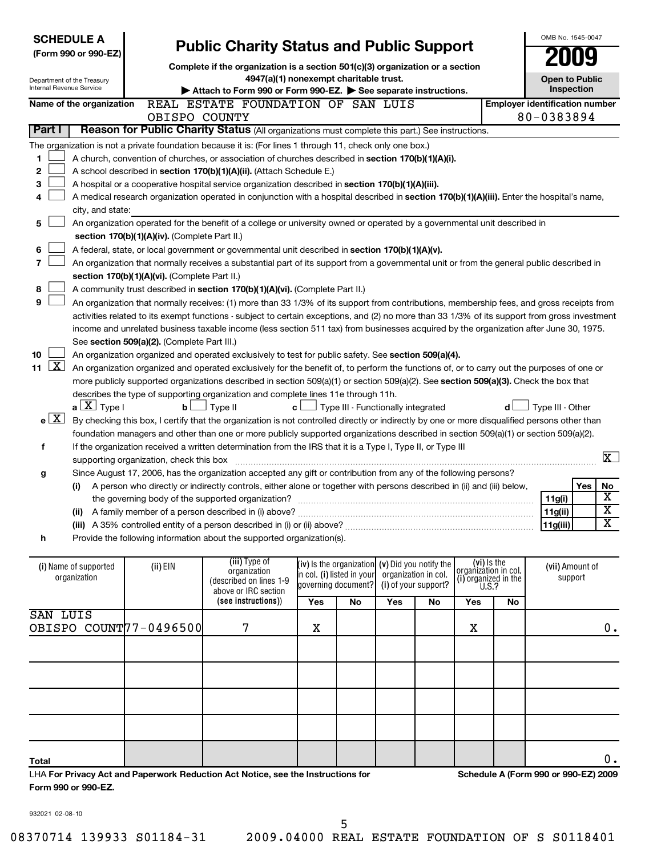| Internal Revenue Service  | <b>SCHEDULE A</b><br>(Form 990 or 990-EZ)<br>Department of the Treasury |                                               | <b>Public Charity Status and Public Support</b><br>Complete if the organization is a section 501(c)(3) organization or a section<br>4947(a)(1) nonexempt charitable trust.<br>Attach to Form 990 or Form 990-EZ. See separate instructions. |     |                                                   |                      |                      |                                                       |                                       | OMB No. 1545-0047<br><b>Open to Public</b><br>Inspection |     |                         |
|---------------------------|-------------------------------------------------------------------------|-----------------------------------------------|---------------------------------------------------------------------------------------------------------------------------------------------------------------------------------------------------------------------------------------------|-----|---------------------------------------------------|----------------------|----------------------|-------------------------------------------------------|---------------------------------------|----------------------------------------------------------|-----|-------------------------|
|                           | Name of the organization                                                |                                               | REAL ESTATE FOUNDATION OF SAN LUIS                                                                                                                                                                                                          |     |                                                   |                      |                      |                                                       | <b>Employer identification number</b> |                                                          |     |                         |
|                           |                                                                         | OBISPO COUNTY                                 |                                                                                                                                                                                                                                             |     |                                                   |                      |                      |                                                       |                                       | 80-0383894                                               |     |                         |
| Part I                    |                                                                         |                                               | Reason for Public Charity Status (All organizations must complete this part.) See instructions.                                                                                                                                             |     |                                                   |                      |                      |                                                       |                                       |                                                          |     |                         |
|                           |                                                                         |                                               | The organization is not a private foundation because it is: (For lines 1 through 11, check only one box.)                                                                                                                                   |     |                                                   |                      |                      |                                                       |                                       |                                                          |     |                         |
| 1                         |                                                                         |                                               | A church, convention of churches, or association of churches described in section 170(b)(1)(A)(i).                                                                                                                                          |     |                                                   |                      |                      |                                                       |                                       |                                                          |     |                         |
| 2                         |                                                                         |                                               | A school described in section 170(b)(1)(A)(ii). (Attach Schedule E.)                                                                                                                                                                        |     |                                                   |                      |                      |                                                       |                                       |                                                          |     |                         |
| 3                         |                                                                         |                                               | A hospital or a cooperative hospital service organization described in section 170(b)(1)(A)(iii).                                                                                                                                           |     |                                                   |                      |                      |                                                       |                                       |                                                          |     |                         |
| 4                         |                                                                         |                                               | A medical research organization operated in conjunction with a hospital described in section 170(b)(1)(A)(iii). Enter the hospital's name,                                                                                                  |     |                                                   |                      |                      |                                                       |                                       |                                                          |     |                         |
|                           | city, and state:                                                        |                                               |                                                                                                                                                                                                                                             |     |                                                   |                      |                      |                                                       |                                       |                                                          |     |                         |
| 5                         |                                                                         |                                               | An organization operated for the benefit of a college or university owned or operated by a governmental unit described in                                                                                                                   |     |                                                   |                      |                      |                                                       |                                       |                                                          |     |                         |
|                           |                                                                         | section 170(b)(1)(A)(iv). (Complete Part II.) |                                                                                                                                                                                                                                             |     |                                                   |                      |                      |                                                       |                                       |                                                          |     |                         |
| 6                         |                                                                         |                                               | A federal, state, or local government or governmental unit described in section 170(b)(1)(A)(v).                                                                                                                                            |     |                                                   |                      |                      |                                                       |                                       |                                                          |     |                         |
| 7                         |                                                                         |                                               | An organization that normally receives a substantial part of its support from a governmental unit or from the general public described in                                                                                                   |     |                                                   |                      |                      |                                                       |                                       |                                                          |     |                         |
|                           |                                                                         | section 170(b)(1)(A)(vi). (Complete Part II.) |                                                                                                                                                                                                                                             |     |                                                   |                      |                      |                                                       |                                       |                                                          |     |                         |
| 8                         |                                                                         |                                               | A community trust described in section 170(b)(1)(A)(vi). (Complete Part II.)                                                                                                                                                                |     |                                                   |                      |                      |                                                       |                                       |                                                          |     |                         |
| 9                         |                                                                         |                                               | An organization that normally receives: (1) more than 33 1/3% of its support from contributions, membership fees, and gross receipts from                                                                                                   |     |                                                   |                      |                      |                                                       |                                       |                                                          |     |                         |
|                           |                                                                         |                                               | activities related to its exempt functions - subject to certain exceptions, and (2) no more than 33 1/3% of its support from gross investment                                                                                               |     |                                                   |                      |                      |                                                       |                                       |                                                          |     |                         |
|                           |                                                                         |                                               | income and unrelated business taxable income (less section 511 tax) from businesses acquired by the organization after June 30, 1975.                                                                                                       |     |                                                   |                      |                      |                                                       |                                       |                                                          |     |                         |
|                           |                                                                         | See section 509(a)(2). (Complete Part III.)   |                                                                                                                                                                                                                                             |     |                                                   |                      |                      |                                                       |                                       |                                                          |     |                         |
| 10                        |                                                                         |                                               | An organization organized and operated exclusively to test for public safety. See section 509(a)(4).                                                                                                                                        |     |                                                   |                      |                      |                                                       |                                       |                                                          |     |                         |
| $\lfloor x \rfloor$<br>11 |                                                                         |                                               | An organization organized and operated exclusively for the benefit of, to perform the functions of, or to carry out the purposes of one or                                                                                                  |     |                                                   |                      |                      |                                                       |                                       |                                                          |     |                         |
|                           |                                                                         |                                               | more publicly supported organizations described in section 509(a)(1) or section 509(a)(2). See section 509(a)(3). Check the box that                                                                                                        |     |                                                   |                      |                      |                                                       |                                       |                                                          |     |                         |
|                           |                                                                         |                                               | describes the type of supporting organization and complete lines 11e through 11h.                                                                                                                                                           |     |                                                   |                      |                      |                                                       |                                       |                                                          |     |                         |
|                           | $a \perp X$ Type I                                                      | b <sub>l</sub>                                | 」Туре II<br>c l                                                                                                                                                                                                                             |     | Type III - Functionally integrated                |                      |                      |                                                       | d l                                   | Type III - Other                                         |     |                         |
| $e$ $X$                   |                                                                         |                                               | By checking this box, I certify that the organization is not controlled directly or indirectly by one or more disqualified persons other than                                                                                               |     |                                                   |                      |                      |                                                       |                                       |                                                          |     |                         |
|                           |                                                                         |                                               | foundation managers and other than one or more publicly supported organizations described in section 509(a)(1) or section 509(a)(2).                                                                                                        |     |                                                   |                      |                      |                                                       |                                       |                                                          |     |                         |
| f                         |                                                                         |                                               | If the organization received a written determination from the IRS that it is a Type I, Type II, or Type III                                                                                                                                 |     |                                                   |                      |                      |                                                       |                                       |                                                          |     |                         |
|                           |                                                                         | supporting organization, check this box       |                                                                                                                                                                                                                                             |     |                                                   |                      |                      |                                                       |                                       |                                                          |     | $\overline{\mathbf{x}}$ |
| g                         |                                                                         |                                               | Since August 17, 2006, has the organization accepted any gift or contribution from any of the following persons?                                                                                                                            |     |                                                   |                      |                      |                                                       |                                       |                                                          |     |                         |
|                           | (i)                                                                     |                                               | A person who directly or indirectly controls, either alone or together with persons described in (ii) and (iii) below,                                                                                                                      |     |                                                   |                      |                      |                                                       |                                       |                                                          | Yes | No                      |
|                           |                                                                         |                                               |                                                                                                                                                                                                                                             |     |                                                   |                      |                      |                                                       |                                       | 11g(i)                                                   |     | $\overline{\textbf{X}}$ |
|                           |                                                                         |                                               | (ii) A family member of a person described in (i) above?                                                                                                                                                                                    |     |                                                   |                      |                      |                                                       |                                       | 11g(ii)                                                  |     | $\overline{\textbf{x}}$ |
|                           |                                                                         |                                               | (iii) A 35% controlled entity of a person described in (i) or (ii) above?                                                                                                                                                                   |     |                                                   |                      |                      |                                                       |                                       | 11g(iii)                                                 |     | $\overline{\textbf{x}}$ |
| h                         |                                                                         |                                               | Provide the following information about the supported organization(s).                                                                                                                                                                      |     |                                                   |                      |                      |                                                       |                                       |                                                          |     |                         |
|                           |                                                                         |                                               |                                                                                                                                                                                                                                             |     |                                                   |                      |                      |                                                       |                                       |                                                          |     |                         |
|                           | (i) Name of supported                                                   | (ii) EIN                                      | (iii) Type of                                                                                                                                                                                                                               |     | (iv) is the organization $(v)$ Did you notify the |                      |                      | (vi) Is the                                           |                                       | (vii) Amount of                                          |     |                         |
|                           | organization                                                            |                                               | organization<br>(described on lines 1-9                                                                                                                                                                                                     |     | in col. (i) listed in your                        | organization in col. |                      | organizátion in col.<br>(i) organized in the $U.S.$ ? |                                       | support                                                  |     |                         |
|                           |                                                                         |                                               | above or IRC section                                                                                                                                                                                                                        |     | governing document?                               |                      | (i) of your support? |                                                       |                                       |                                                          |     |                         |
|                           |                                                                         |                                               | (see instructions))                                                                                                                                                                                                                         | Yes | <b>No</b>                                         | Yes                  | No                   | Yes                                                   | No                                    |                                                          |     |                         |
| SAN LUIS                  |                                                                         |                                               |                                                                                                                                                                                                                                             |     |                                                   |                      |                      |                                                       |                                       |                                                          |     |                         |
|                           |                                                                         | OBISPO COUNT77-0496500                        | 7                                                                                                                                                                                                                                           | X   |                                                   |                      |                      | X                                                     |                                       |                                                          |     | $0$ .                   |
|                           |                                                                         |                                               |                                                                                                                                                                                                                                             |     |                                                   |                      |                      |                                                       |                                       |                                                          |     |                         |
|                           |                                                                         |                                               |                                                                                                                                                                                                                                             |     |                                                   |                      |                      |                                                       |                                       |                                                          |     |                         |
|                           |                                                                         |                                               |                                                                                                                                                                                                                                             |     |                                                   |                      |                      |                                                       |                                       |                                                          |     |                         |
|                           |                                                                         |                                               |                                                                                                                                                                                                                                             |     |                                                   |                      |                      |                                                       |                                       |                                                          |     |                         |
|                           |                                                                         |                                               |                                                                                                                                                                                                                                             |     |                                                   |                      |                      |                                                       |                                       |                                                          |     |                         |

|  | 08370714 139933 S01184-31 |  |
|--|---------------------------|--|
|  |                           |  |

**For Privacy Act and Paperwork Reduction Act Notice, see the Instructions for** LHA

932021 02-08-10

**Form 990 or 990-EZ.**

**Total**

**Schedule A (Form 990 or 990-EZ) 2009**

 $\mathbf 0$  .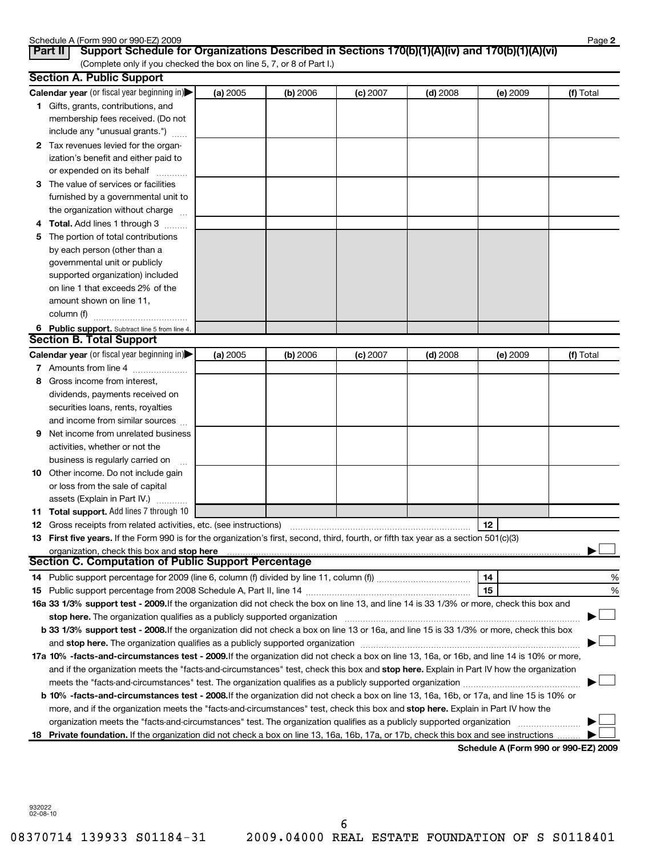|    | Schedule A (Form 990 or 990-EZ) 2009<br>Support Schedule for Organizations Described in Sections 170(b)(1)(A)(iv) and 170(b)(1)(A)(vi)<br>Part II                                                                                   |          |            |            |            |                 | Page 2    |
|----|-------------------------------------------------------------------------------------------------------------------------------------------------------------------------------------------------------------------------------------|----------|------------|------------|------------|-----------------|-----------|
|    | (Complete only if you checked the box on line 5, 7, or 8 of Part I.)                                                                                                                                                                |          |            |            |            |                 |           |
|    | <b>Section A. Public Support</b>                                                                                                                                                                                                    |          |            |            |            |                 |           |
|    | Calendar year (or fiscal year beginning in)                                                                                                                                                                                         | (a) 2005 | (b) 2006   | $(c)$ 2007 | $(d)$ 2008 | $(e)$ 2009      | (f) Total |
|    | 1 Gifts, grants, contributions, and                                                                                                                                                                                                 |          |            |            |            |                 |           |
|    | membership fees received. (Do not                                                                                                                                                                                                   |          |            |            |            |                 |           |
|    | include any "unusual grants.")                                                                                                                                                                                                      |          |            |            |            |                 |           |
|    | 2 Tax revenues levied for the organ-                                                                                                                                                                                                |          |            |            |            |                 |           |
|    | ization's benefit and either paid to                                                                                                                                                                                                |          |            |            |            |                 |           |
|    | or expended on its behalf                                                                                                                                                                                                           |          |            |            |            |                 |           |
| З. | The value of services or facilities                                                                                                                                                                                                 |          |            |            |            |                 |           |
|    | furnished by a governmental unit to                                                                                                                                                                                                 |          |            |            |            |                 |           |
|    | the organization without charge                                                                                                                                                                                                     |          |            |            |            |                 |           |
|    | <b>Total.</b> Add lines 1 through 3                                                                                                                                                                                                 |          |            |            |            |                 |           |
| 5  | The portion of total contributions                                                                                                                                                                                                  |          |            |            |            |                 |           |
|    | by each person (other than a                                                                                                                                                                                                        |          |            |            |            |                 |           |
|    | governmental unit or publicly                                                                                                                                                                                                       |          |            |            |            |                 |           |
|    | supported organization) included                                                                                                                                                                                                    |          |            |            |            |                 |           |
|    | on line 1 that exceeds 2% of the                                                                                                                                                                                                    |          |            |            |            |                 |           |
|    | amount shown on line 11,                                                                                                                                                                                                            |          |            |            |            |                 |           |
|    | column (f)                                                                                                                                                                                                                          |          |            |            |            |                 |           |
|    | 6 Public support. Subtract line 5 from line 4.                                                                                                                                                                                      |          |            |            |            |                 |           |
|    | <b>Section B. Total Support</b>                                                                                                                                                                                                     |          |            |            |            |                 |           |
|    | Calendar year (or fiscal year beginning in)                                                                                                                                                                                         | (a) 2005 | $(b)$ 2006 | $(c)$ 2007 | $(d)$ 2008 | <b>(e)</b> 2009 | (f) Total |
|    | 7 Amounts from line 4                                                                                                                                                                                                               |          |            |            |            |                 |           |
| 8  | Gross income from interest,                                                                                                                                                                                                         |          |            |            |            |                 |           |
|    | dividends, payments received on                                                                                                                                                                                                     |          |            |            |            |                 |           |
|    | securities loans, rents, royalties                                                                                                                                                                                                  |          |            |            |            |                 |           |
|    | and income from similar sources                                                                                                                                                                                                     |          |            |            |            |                 |           |
| 9  | Net income from unrelated business                                                                                                                                                                                                  |          |            |            |            |                 |           |
|    | activities, whether or not the                                                                                                                                                                                                      |          |            |            |            |                 |           |
|    | business is regularly carried on                                                                                                                                                                                                    |          |            |            |            |                 |           |
|    | 10 Other income. Do not include gain                                                                                                                                                                                                |          |            |            |            |                 |           |
|    | or loss from the sale of capital                                                                                                                                                                                                    |          |            |            |            |                 |           |
|    | assets (Explain in Part IV.)                                                                                                                                                                                                        |          |            |            |            |                 |           |
|    | 11 Total support. Add lines 7 through 10                                                                                                                                                                                            |          |            |            |            |                 |           |
|    |                                                                                                                                                                                                                                     |          |            |            |            | $\vert$ 12      |           |
|    | 13 First five years. If the Form 990 is for the organization's first, second, third, fourth, or fifth tax year as a section 501(c)(3)                                                                                               |          |            |            |            |                 |           |
|    | organization, check this box and stop here <b>construction and construction</b> control and construction of the state of the construction of the construction of the construction of the construction of the construction of the co |          |            |            |            |                 |           |
|    | <b>Section C. Computation of Public Support Percentage</b>                                                                                                                                                                          |          |            |            |            |                 |           |
| 14 |                                                                                                                                                                                                                                     |          |            |            |            | 14              | %         |
| 15 |                                                                                                                                                                                                                                     |          |            |            |            | 15              | %         |
|    | 16a 33 1/3% support test - 2009. If the organization did not check the box on line 13, and line 14 is 33 1/3% or more, check this box and                                                                                           |          |            |            |            |                 |           |
|    | stop here. The organization qualifies as a publicly supported organization manufaction manufacture content and the supported or an annufacture manufacture content and the supported or state of the state of the state of the      |          |            |            |            |                 |           |
|    | b 33 1/3% support test - 2008. If the organization did not check a box on line 13 or 16a, and line 15 is 33 1/3% or more, check this box                                                                                            |          |            |            |            |                 |           |
|    |                                                                                                                                                                                                                                     |          |            |            |            |                 |           |
|    | 17a 10% -facts-and-circumstances test - 2009. If the organization did not check a box on line 13, 16a, or 16b, and line 14 is 10% or more,                                                                                          |          |            |            |            |                 |           |
|    | and if the organization meets the "facts-and-circumstances" test, check this box and stop here. Explain in Part IV how the organization                                                                                             |          |            |            |            |                 |           |
|    |                                                                                                                                                                                                                                     |          |            |            |            |                 |           |
|    | b 10% -facts-and-circumstances test - 2008. If the organization did not check a box on line 13, 16a, 16b, or 17a, and line 15 is 10% or                                                                                             |          |            |            |            |                 |           |
|    | more, and if the organization meets the "facts-and-circumstances" test, check this box and stop here. Explain in Part IV how the                                                                                                    |          |            |            |            |                 |           |
|    | organization meets the "facts-and-circumstances" test. The organization qualifies as a publicly supported organization                                                                                                              |          |            |            |            |                 |           |
|    | 18 Private foundation. If the organization did not check a box on line 13, 16a, 16b, 17a, or 17b, check this box and see instructions                                                                                               |          |            |            |            |                 |           |

**Schedule A (Form 990 or 990-EZ) 2009**

932022 02-08-10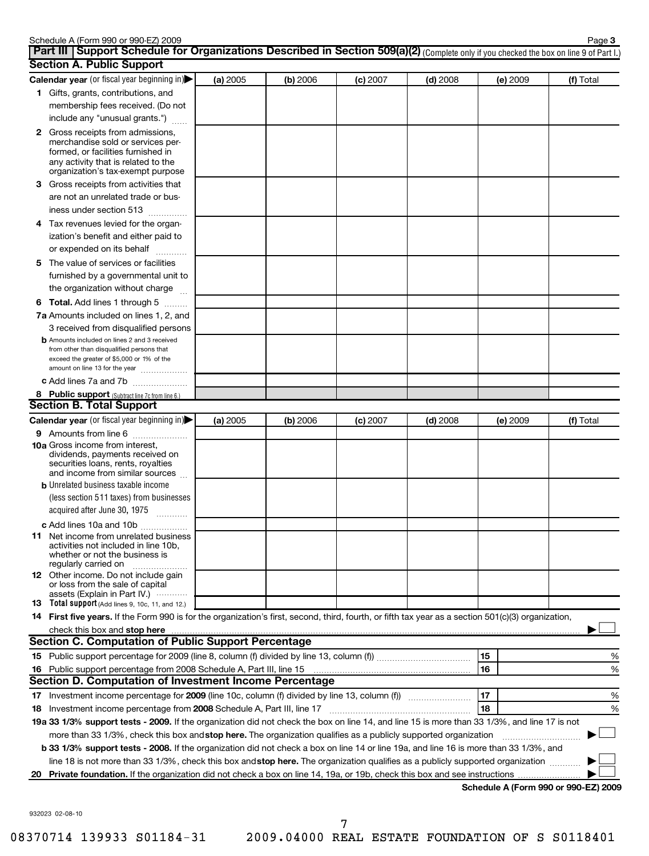|   | Schedule A (Form 990 or 990-EZ) 2009<br>Part III   Support Schedule for Organizations Described in Section 509(a)(2) (Complete only if you checked the box on line 9 of Part I.)                 |          |          |          |            |          | Page 3    |
|---|--------------------------------------------------------------------------------------------------------------------------------------------------------------------------------------------------|----------|----------|----------|------------|----------|-----------|
|   | <b>Section A. Public Support</b>                                                                                                                                                                 |          |          |          |            |          |           |
|   | Calendar year (or fiscal year beginning in)                                                                                                                                                      | (a) 2005 | (b) 2006 | (c) 2007 | $(d)$ 2008 | (e) 2009 | (f) Total |
|   | 1 Gifts, grants, contributions, and                                                                                                                                                              |          |          |          |            |          |           |
|   | membership fees received. (Do not                                                                                                                                                                |          |          |          |            |          |           |
|   | include any "unusual grants.")                                                                                                                                                                   |          |          |          |            |          |           |
|   | 2 Gross receipts from admissions,<br>merchandise sold or services per-<br>formed, or facilities furnished in<br>any activity that is related to the<br>organization's tax-exempt purpose         |          |          |          |            |          |           |
| З | Gross receipts from activities that                                                                                                                                                              |          |          |          |            |          |           |
|   | are not an unrelated trade or bus-                                                                                                                                                               |          |          |          |            |          |           |
|   | iness under section 513                                                                                                                                                                          |          |          |          |            |          |           |
|   | 4 Tax revenues levied for the organ-<br>ization's benefit and either paid to                                                                                                                     |          |          |          |            |          |           |
|   | or expended on its behalf                                                                                                                                                                        |          |          |          |            |          |           |
|   | 5 The value of services or facilities<br>furnished by a governmental unit to                                                                                                                     |          |          |          |            |          |           |
|   | the organization without charge                                                                                                                                                                  |          |          |          |            |          |           |
|   | 6 Total. Add lines 1 through 5                                                                                                                                                                   |          |          |          |            |          |           |
|   | 7a Amounts included on lines 1, 2, and                                                                                                                                                           |          |          |          |            |          |           |
|   | 3 received from disqualified persons                                                                                                                                                             |          |          |          |            |          |           |
|   | <b>b</b> Amounts included on lines 2 and 3 received<br>from other than disqualified persons that<br>exceed the greater of \$5,000 or 1% of the<br>amount on line 13 for the year                 |          |          |          |            |          |           |
|   | c Add lines 7a and 7b                                                                                                                                                                            |          |          |          |            |          |           |
|   | 8 Public support (Subtract line 7c from line 6.)                                                                                                                                                 |          |          |          |            |          |           |
|   | <b>Section B. Total Support</b>                                                                                                                                                                  |          |          |          |            |          |           |
|   | Calendar year (or fiscal year beginning in)                                                                                                                                                      | (a) 2005 | (b) 2006 | (c) 2007 | $(d)$ 2008 | (e) 2009 | (f) Total |
|   | 9 Amounts from line 6                                                                                                                                                                            |          |          |          |            |          |           |
|   | <b>10a</b> Gross income from interest,<br>dividends, payments received on<br>securities loans, rents, royalties<br>and income from similar sources<br><b>b</b> Unrelated business taxable income |          |          |          |            |          |           |
|   | (less section 511 taxes) from businesses                                                                                                                                                         |          |          |          |            |          |           |
|   | acquired after June 30, 1975                                                                                                                                                                     |          |          |          |            |          |           |
|   | c Add lines 10a and 10b                                                                                                                                                                          |          |          |          |            |          |           |
|   | <b>11</b> Net income from unrelated business<br>activities not included in line 10b,<br>whether or not the business is<br>regularly carried on                                                   |          |          |          |            |          |           |
|   | 12 Other income. Do not include gain<br>or loss from the sale of capital<br>assets (Explain in Part IV.) $\cdots$                                                                                |          |          |          |            |          |           |
|   | 13 Total support (Add lines 9, 10c, 11, and 12.)                                                                                                                                                 |          |          |          |            |          |           |
|   | 14 First five years. If the Form 990 is for the organization's first, second, third, fourth, or fifth tax year as a section 501(c)(3) organization,                                              |          |          |          |            |          |           |
|   |                                                                                                                                                                                                  |          |          |          |            |          |           |
|   | <b>Section C. Computation of Public Support Percentage</b>                                                                                                                                       |          |          |          |            |          |           |
|   |                                                                                                                                                                                                  |          |          |          |            | 15       | %         |
|   |                                                                                                                                                                                                  |          |          |          |            | 16       | %         |
|   | Section D. Computation of Investment Income Percentage                                                                                                                                           |          |          |          |            |          |           |
|   |                                                                                                                                                                                                  |          |          |          |            | 17       | %         |
|   |                                                                                                                                                                                                  |          |          |          |            | 18       | %         |
|   | 19a 33 1/3% support tests - 2009. If the organization did not check the box on line 14, and line 15 is more than 33 1/3%, and line 17 is not                                                     |          |          |          |            |          |           |
|   | more than 33 1/3%, check this box and stop here. The organization qualifies as a publicly supported organization                                                                                 |          |          |          |            |          |           |
|   | b 33 1/3% support tests - 2008. If the organization did not check a box on line 14 or line 19a, and line 16 is more than 33 1/3%, and                                                            |          |          |          |            |          |           |
|   | line 18 is not more than 33 1/3%, check this box and stop here. The organization qualifies as a publicly supported organization                                                                  |          |          |          |            |          |           |
|   |                                                                                                                                                                                                  |          |          |          |            |          |           |

932023 02-08-10

08370714 139933 S01184-31 2009.04000 REAL ESTATE FOUNDATION OF S S0118401

7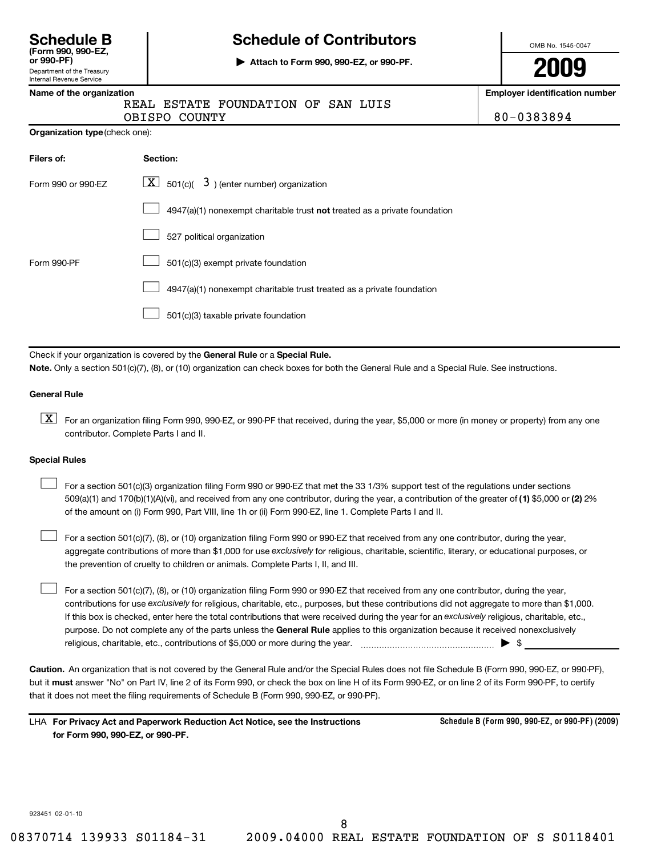| <b>Schedule B</b>  |  |
|--------------------|--|
| (Form 990, 990-EZ, |  |
| $or$ 990-PF)       |  |

Department of the Treasury Internal Revenue Service

# **Schedule of Contributors**

**or 990-PF) | Attach to Form 990, 990-EZ, or 990-PF.**

OMB No. 1545-0047

**2009**

### **Name of the organization Employer identification number**

REAL ESTATE FOUNDATION OF SAN LUIS

OBISPO COUNTY 80-0383894

**Organization type** (check one):

| Filers of:         | Section:                                                                  |
|--------------------|---------------------------------------------------------------------------|
| Form 990 or 990-FZ | $\lfloor \underline{X} \rfloor$ 501(c)( 3) (enter number) organization    |
|                    | 4947(a)(1) nonexempt charitable trust not treated as a private foundation |
|                    | 527 political organization                                                |
| Form 990-PF        | 501(c)(3) exempt private foundation                                       |
|                    | 4947(a)(1) nonexempt charitable trust treated as a private foundation     |
|                    | 501(c)(3) taxable private foundation                                      |

Check if your organization is covered by the General Rule or a Special Rule. **Note.**  Only a section 501(c)(7), (8), or (10) organization can check boxes for both the General Rule and a Special Rule. See instructions.

#### **General Rule**

 $\boxed{\textbf{X}}$  For an organization filing Form 990, 990-EZ, or 990-PF that received, during the year, \$5,000 or more (in money or property) from any one contributor. Complete Parts I and II.

#### **Special Rules**

509(a)(1) and 170(b)(1)(A)(vi), and received from any one contributor, during the year, a contribution of the greater of (1) \$5,000 or (2) 2% For a section 501(c)(3) organization filing Form 990 or 990-EZ that met the 33 1/3% support test of the regulations under sections of the amount on (i) Form 990, Part VIII, line 1h or (ii) Form 990-EZ, line 1. Complete Parts I and II.  $\left\vert \cdot\right\vert$ 

aggregate contributions of more than \$1,000 for use exclusively for religious, charitable, scientific, literary, or educational purposes, or  $\perp$  For a section 501(c)(7), (8), or (10) organization filing Form 990 or 990-EZ that received from any one contributor, during the year, the prevention of cruelty to children or animals. Complete Parts I, II, and III.  $\left\vert \cdot\right\vert$ 

purpose. Do not complete any of the parts unless the General Rule applies to this organization because it received nonexclusively contributions for use exclusively for religious, charitable, etc., purposes, but these contributions did not aggregate to more than \$1,000. If this box is checked, enter here the total contributions that were received during the year for an exclusively religious, charitable, etc., For a section 501(c)(7), (8), or (10) organization filing Form 990 or 990-EZ that received from any one contributor, during the year, religious, charitable, etc., contributions of \$5,000 or more during the year. ~~~~~~~~~~~~~~~~~ | \$

**Caution.** An organization that is not covered by the General Rule and/or the Special Rules does not file Schedule B (Form 990, 990-EZ, or 990-PF), but it **must** answer "No" on Part IV, line 2 of its Form 990, or check the box on line H of its Form 990-EZ, or on line 2 of its Form 990-PF, to certify that it does not meet the filing requirements of Schedule B (Form 990, 990-EZ, or 990-PF).

**For Privacy Act and Paperwork Reduction Act Notice, see the Instructions** LHA **for Form 990, 990-EZ, or 990-PF.**

**Schedule B (Form 990, 990-EZ, or 990-PF) (2009)**

923451 02-01-10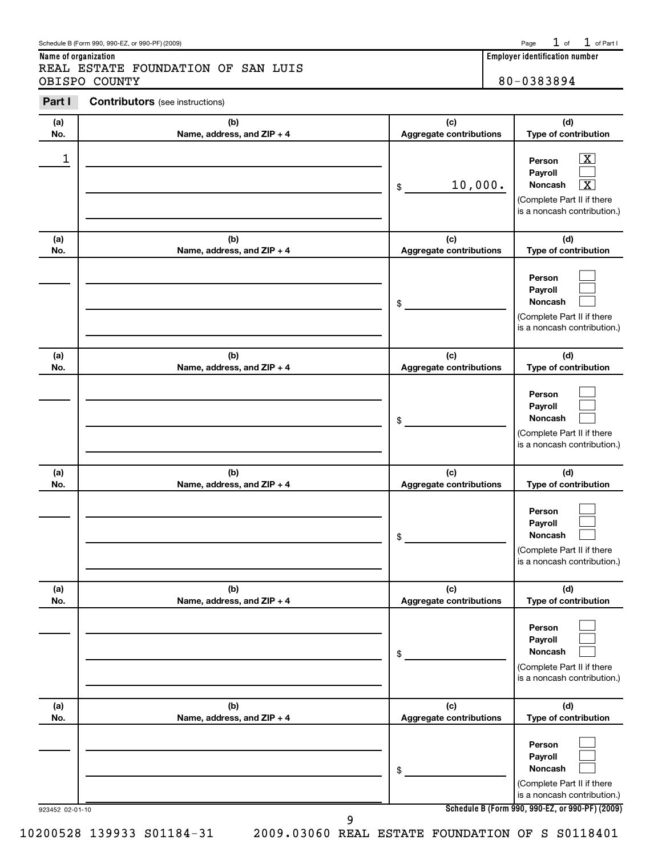| Schedule B (Form 990, 990-EZ, or 990-PF) (2009) | $P$ age | l. of | . of Part |  |
|-------------------------------------------------|---------|-------|-----------|--|
|                                                 |         |       |           |  |

**Name of organization**REAL ESTATE FOUNDATION OF SAN LUIS OBISPO COUNTY 80-0383894

**Part I Contributors** (see instructions)

| (a)<br>No.      | (b)<br>Name, address, and ZIP + 4 | (c)<br><b>Aggregate contributions</b> | (d)<br>Type of contribution                                                                                                                     |
|-----------------|-----------------------------------|---------------------------------------|-------------------------------------------------------------------------------------------------------------------------------------------------|
| 1               |                                   | 10,000.<br>\$                         | $\overline{\mathbf{X}}$<br>Person<br>Payroll<br>$\overline{\texttt{x}}$<br>Noncash<br>(Complete Part II if there<br>is a noncash contribution.) |
| (a)<br>No.      | (b)<br>Name, address, and ZIP + 4 | (c)<br><b>Aggregate contributions</b> | (d)<br>Type of contribution                                                                                                                     |
|                 |                                   | \$                                    | Person<br>Payroll<br><b>Noncash</b><br>(Complete Part II if there<br>is a noncash contribution.)                                                |
| (a)<br>No.      | (b)<br>Name, address, and ZIP + 4 | (c)<br><b>Aggregate contributions</b> | (d)<br>Type of contribution                                                                                                                     |
|                 |                                   | \$                                    | Person<br>Payroll<br><b>Noncash</b><br>(Complete Part II if there<br>is a noncash contribution.)                                                |
| (a)<br>No.      | (b)<br>Name, address, and ZIP + 4 | (c)<br><b>Aggregate contributions</b> | (d)<br>Type of contribution                                                                                                                     |
|                 |                                   | \$                                    | Person<br>Payroll<br><b>Noncash</b><br>(Complete Part II if there<br>is a noncash contribution.)                                                |
| (a)<br>No.      | (b)<br>Name, address, and ZIP + 4 | (c)<br><b>Aggregate contributions</b> | (d)<br>Type of contribution                                                                                                                     |
|                 |                                   | \$                                    | Person<br>Payroll<br><b>Noncash</b><br>(Complete Part II if there<br>is a noncash contribution.)                                                |
| (a)<br>No.      | (b)<br>Name, address, and ZIP + 4 | (c)<br><b>Aggregate contributions</b> | (d)<br>Type of contribution                                                                                                                     |
| 923452 02-01-10 |                                   | \$                                    | Person<br>Payroll<br>Noncash<br>(Complete Part II if there<br>is a noncash contribution.)<br>Schedule B (Form 990, 990-EZ, or 990-PF) (2009)    |
|                 | 9                                 |                                       |                                                                                                                                                 |

**Employer identification number**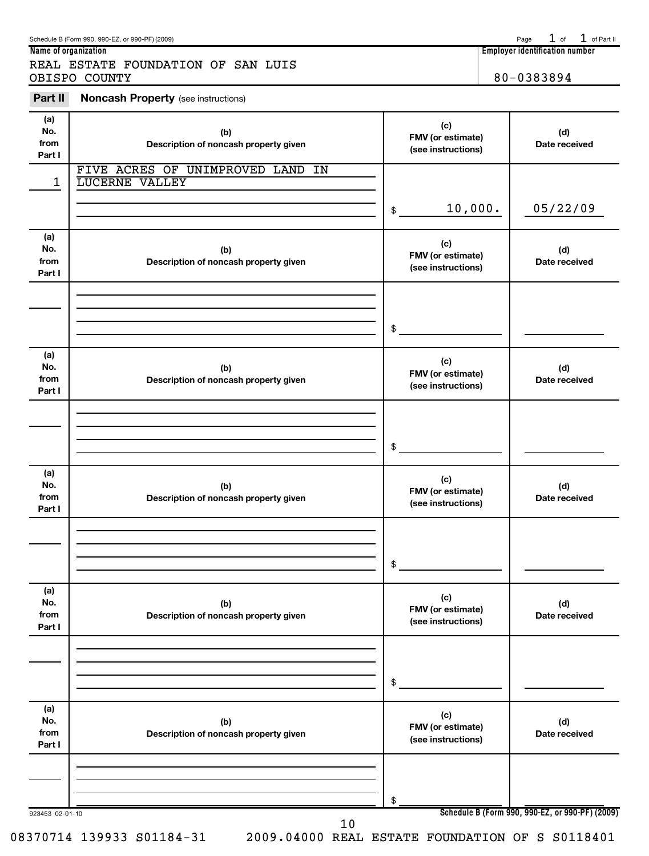$1$  of  $1$  of Part II

## **Name of organization Employer identification number** REAL ESTATE FOUNDATION OF SAN LUIS OBISPO COUNTY 80-0383894

**Part II Noncash Property** (see instructions)

| (a)<br>No.<br>from<br>Part I | (b)<br>Description of noncash property given       | (c)<br>FMV (or estimate)<br>(see instructions) | (d)<br>Date received                            |
|------------------------------|----------------------------------------------------|------------------------------------------------|-------------------------------------------------|
| 1                            | FIVE ACRES OF UNIMPROVED LAND IN<br>LUCERNE VALLEY |                                                |                                                 |
|                              |                                                    |                                                |                                                 |
|                              |                                                    | 10,000.<br>$\frac{1}{2}$                       | 05/22/09                                        |
| (a)<br>No.<br>from<br>Part I | (b)<br>Description of noncash property given       | (c)<br>FMV (or estimate)<br>(see instructions) | (d)<br>Date received                            |
|                              |                                                    |                                                |                                                 |
|                              |                                                    | \$                                             |                                                 |
| (a)<br>No.<br>from<br>Part I | (b)<br>Description of noncash property given       | (c)<br>FMV (or estimate)<br>(see instructions) | (d)<br>Date received                            |
|                              |                                                    |                                                |                                                 |
|                              |                                                    |                                                |                                                 |
|                              |                                                    | $$\circ$$                                      |                                                 |
| (a)<br>No.<br>from<br>Part I | (b)<br>Description of noncash property given       | (c)<br>FMV (or estimate)<br>(see instructions) | (d)<br>Date received                            |
|                              |                                                    |                                                |                                                 |
|                              |                                                    |                                                |                                                 |
|                              |                                                    | \$                                             |                                                 |
| (a)<br>No.<br>from<br>Part I | (b)<br>Description of noncash property given       | (c)<br>FMV (or estimate)<br>(see instructions) | (d)<br>Date received                            |
|                              |                                                    |                                                |                                                 |
|                              |                                                    | \$                                             |                                                 |
| (a)<br>No.<br>from<br>Part I | (b)<br>Description of noncash property given       | (c)<br>FMV (or estimate)<br>(see instructions) | (d)<br>Date received                            |
|                              |                                                    |                                                |                                                 |
|                              |                                                    |                                                |                                                 |
| 923453 02-01-10              |                                                    | \$                                             | Schedule B (Form 990, 990-EZ, or 990-PF) (2009) |
|                              | 10                                                 |                                                |                                                 |

08370714 139933 S01184-31 2009.04000 REAL ESTATE FOUNDATION OF S S0118401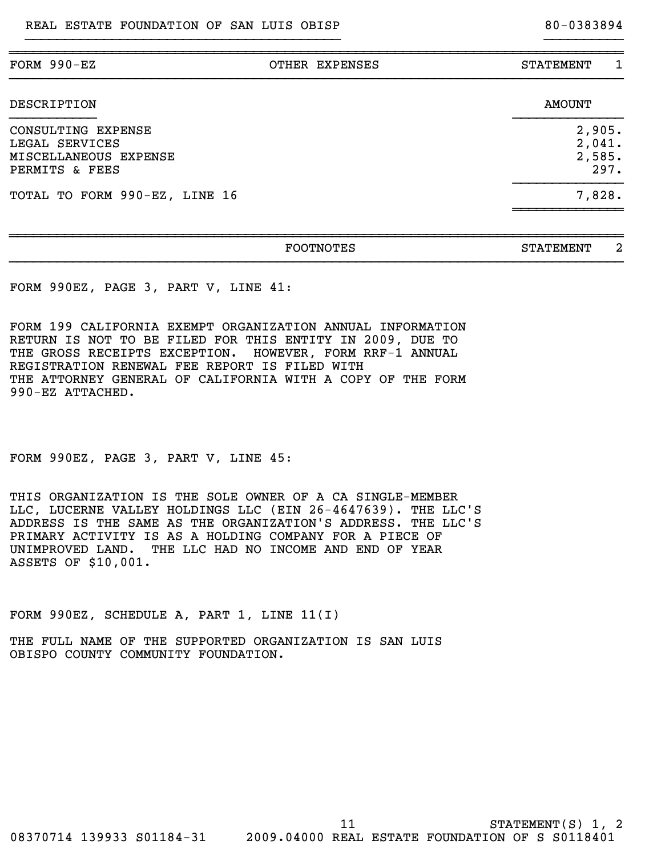| FORM 990-EZ                                                                     | OTHER EXPENSES | 1<br><b>STATEMENT</b>              |
|---------------------------------------------------------------------------------|----------------|------------------------------------|
| DESCRIPTION                                                                     |                | AMOUNT                             |
| CONSULTING EXPENSE<br>LEGAL SERVICES<br>MISCELLANEOUS EXPENSE<br>PERMITS & FEES |                | 2,905.<br>2,041.<br>2,585.<br>297. |
| TOTAL TO FORM 990-EZ, LINE 16                                                   |                | 7,828.                             |
|                                                                                 |                |                                    |

}}}}}}}}}}}}}}}}}}}}}}}}}}}}}}}}}}}}}}}} }}}}}}}}}}

~~~~~~~~~~~~~~~~~~~~~~~~~~~~~~~~~~~~~~~~~~~~~~~~~~~~~~~~~~~~~~~~~~~~~~~~~~~~~~

| . <i>.</i><br>FOOTNOTES | --------<br>$\sim$ m<br>STATEMENT |
|-------------------------|-----------------------------------|
|                         |                                   |

FORM 990EZ, PAGE 3, PART V, LINE 41:

FORM 199 CALIFORNIA EXEMPT ORGANIZATION ANNUAL INFORMATION RETURN IS NOT TO BE FILED FOR THIS ENTITY IN 2009, DUE TO THE GROSS RECEIPTS EXCEPTION. HOWEVER, FORM RRF-1 ANNUAL REGISTRATION RENEWAL FEE REPORT IS FILED WITH THE ATTORNEY GENERAL OF CALIFORNIA WITH A COPY OF THE FORM 990-EZ ATTACHED.

FORM 990EZ, PAGE 3, PART V, LINE 45:

THIS ORGANIZATION IS THE SOLE OWNER OF A CA SINGLE-MEMBER LLC, LUCERNE VALLEY HOLDINGS LLC (EIN 26-4647639). THE LLC'S ADDRESS IS THE SAME AS THE ORGANIZATION'S ADDRESS. THE LLC'S PRIMARY ACTIVITY IS AS A HOLDING COMPANY FOR A PIECE OF UNIMPROVED LAND. THE LLC HAD NO INCOME AND END OF YEAR ASSETS OF \$10,001.

FORM 990EZ, SCHEDULE A, PART 1, LINE 11(I)

THE FULL NAME OF THE SUPPORTED ORGANIZATION IS SAN LUIS OBISPO COUNTY COMMUNITY FOUNDATION.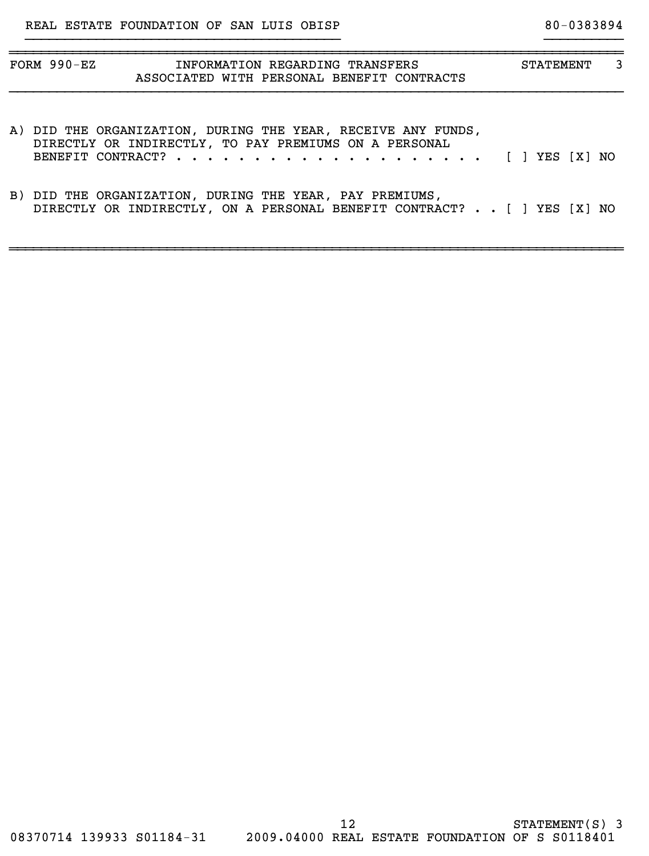| $FORM 990 - EZ$ | INFORMATION REGARDING TRANSFERS<br>ASSOCIATED WITH PERSONAL BENEFIT CONTRACTS                                         | <b>STATEMENT</b> | 3 |
|-----------------|-----------------------------------------------------------------------------------------------------------------------|------------------|---|
|                 |                                                                                                                       |                  |   |
|                 | A) DID THE ORGANIZATION, DURING THE YEAR, RECEIVE ANY FUNDS,<br>DIRECTLY OR INDIRECTLY, TO PAY PREMIUMS ON A PERSONAL |                  |   |

}}}}}}}}}}}}}}}}}}}}}}}}}}}}}}}}}}}}}}}} }}}}}}}}}}

BENEFIT CONTRACT? . . . . . . . . . . . . . . . . . . . . [ ] YES [ ] NO X

B) DID THE ORGANIZATION, DURING THE YEAR, PAY PREMIUMS, DIRECTLY OR INDIRECTLY, ON A PERSONAL BENEFIT CONTRACT? . . [ ] YES [X] NO

~~~~~~~~~~~~~~~~~~~~~~~~~~~~~~~~~~~~~~~~~~~~~~~~~~~~~~~~~~~~~~~~~~~~~~~~~~~~~~